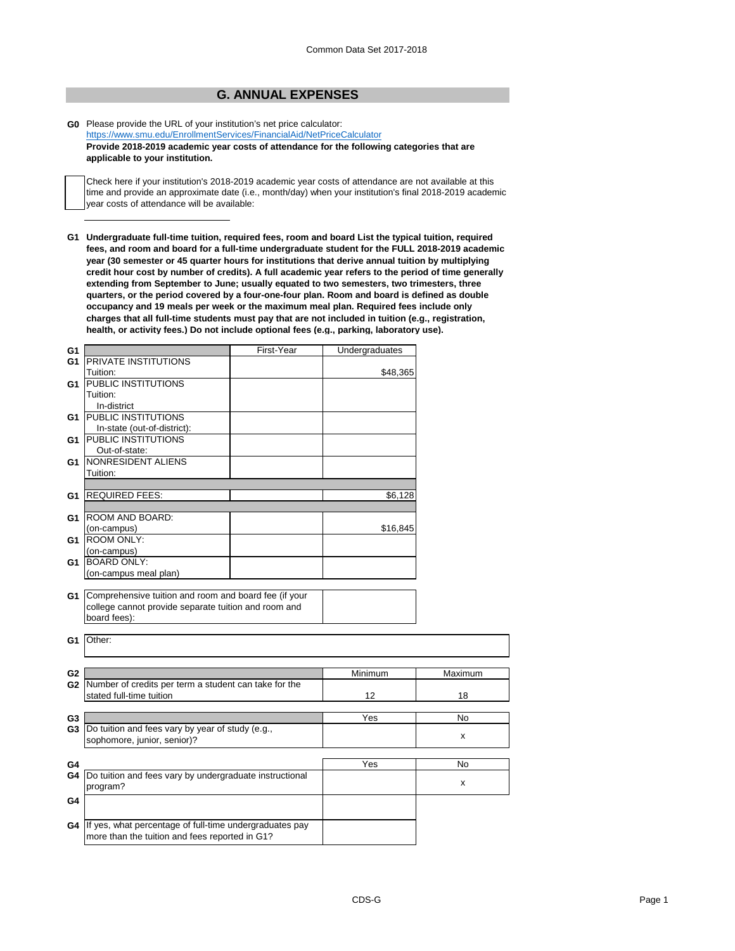## **G. ANNUAL EXPENSES**

**G0** Please provide the URL of your institution's net price calculator: <https://www.smu.edu/EnrollmentServices/FinancialAid/NetPriceCalculator> **Provide 2018-2019 academic year costs of attendance for the following categories that are applicable to your institution.**

Check here if your institution's 2018-2019 academic year costs of attendance are not available at this time and provide an approximate date (i.e., month/day) when your institution's final 2018-2019 academic year costs of attendance will be available:

**G1 Undergraduate full-time tuition, required fees, room and board List the typical tuition, required fees, and room and board for a full-time undergraduate student for the FULL 2018-2019 academic year (30 semester or 45 quarter hours for institutions that derive annual tuition by multiplying credit hour cost by number of credits). A full academic year refers to the period of time generally extending from September to June; usually equated to two semesters, two trimesters, three quarters, or the period covered by a four-one-four plan. Room and board is defined as double occupancy and 19 meals per week or the maximum meal plan. Required fees include only charges that all full-time students must pay that are not included in tuition (e.g., registration, health, or activity fees.) Do not include optional fees (e.g., parking, laboratory use).**

| G1             |                                                                                                                                  | First-Year | Undergraduates |         |
|----------------|----------------------------------------------------------------------------------------------------------------------------------|------------|----------------|---------|
| G <sub>1</sub> | <b>PRIVATE INSTITUTIONS</b>                                                                                                      |            |                |         |
|                | Tuition:                                                                                                                         |            | \$48,365       |         |
| G1             | <b>PUBLIC INSTITUTIONS</b>                                                                                                       |            |                |         |
|                | Tuition:                                                                                                                         |            |                |         |
|                | In-district                                                                                                                      |            |                |         |
| G1             | <b>PUBLIC INSTITUTIONS</b>                                                                                                       |            |                |         |
|                | In-state (out-of-district):                                                                                                      |            |                |         |
| G1             | <b>PUBLIC INSTITUTIONS</b>                                                                                                       |            |                |         |
|                | Out-of-state:                                                                                                                    |            |                |         |
| G1             | NONRESIDENT ALIENS                                                                                                               |            |                |         |
|                | Tuition:                                                                                                                         |            |                |         |
|                |                                                                                                                                  |            |                |         |
| G1             | <b>REQUIRED FEES:</b>                                                                                                            |            | \$6,128        |         |
|                |                                                                                                                                  |            |                |         |
|                | <b>G1 ROOM AND BOARD:</b>                                                                                                        |            |                |         |
|                |                                                                                                                                  |            |                |         |
|                | (on-campus)<br><b>ROOM ONLY:</b>                                                                                                 |            | \$16,845       |         |
| G1             |                                                                                                                                  |            |                |         |
|                | (on-campus)                                                                                                                      |            |                |         |
| G1             | <b>BOARD ONLY:</b>                                                                                                               |            |                |         |
|                | (on-campus meal plan)                                                                                                            |            |                |         |
|                | G1 Comprehensive tuition and room and board fee (if your<br>college cannot provide separate tuition and room and<br>board fees): |            |                |         |
| G1             | Other:                                                                                                                           |            |                |         |
|                |                                                                                                                                  |            | Minimum        | Maximum |
| G <sub>2</sub> |                                                                                                                                  |            |                |         |
|                | G2 Number of credits per term a student can take for the                                                                         |            |                |         |
|                | stated full-time tuition                                                                                                         |            | 12             | 18      |
|                |                                                                                                                                  |            |                |         |
| G <sub>3</sub> |                                                                                                                                  |            | Yes            | No      |
| G3             | Do tuition and fees vary by year of study (e.g.,                                                                                 |            |                | X       |
|                | sophomore, junior, senior)?                                                                                                      |            |                |         |
|                |                                                                                                                                  |            |                |         |
| G4             |                                                                                                                                  |            | Yes            | No      |
| G4             | Do tuition and fees vary by undergraduate instructional                                                                          |            |                |         |
|                | program?                                                                                                                         |            |                | x       |
| G4             |                                                                                                                                  |            |                |         |
|                |                                                                                                                                  |            |                |         |
|                | G4 If yes, what percentage of full-time undergraduates pay                                                                       |            |                |         |
|                | more than the tuition and fees reported in G1?                                                                                   |            |                |         |